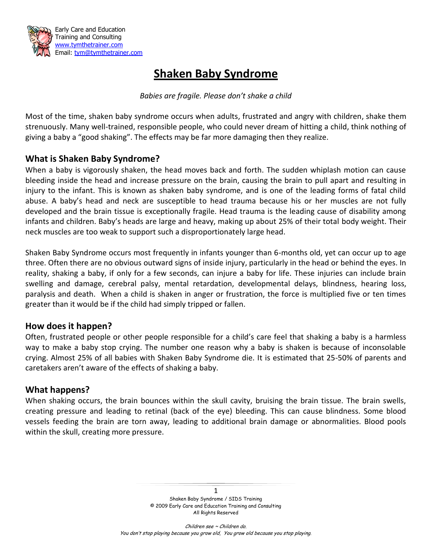

# **Shaken Baby Syndrome**

#### *Babies are fragile. Please don't shake a child*

Most of the time, shaken baby syndrome occurs when adults, frustrated and angry with children, shake them strenuously. Many well-trained, responsible people, who could never dream of hitting a child, think nothing of giving a baby a "good shaking". The effects may be far more damaging then they realize.

# **What is Shaken Baby Syndrome?**

When a baby is vigorously shaken, the head moves back and forth. The sudden whiplash motion can cause bleeding inside the head and increase pressure on the brain, causing the brain to pull apart and resulting in injury to the infant. This is known as shaken baby syndrome, and is one of the leading forms of fatal child abuse. A baby's head and neck are susceptible to head trauma because his or her muscles are not fully developed and the brain tissue is exceptionally fragile. Head trauma is the leading cause of disability among infants and children. Baby's heads are large and heavy, making up about 25% of their total body weight. Their neck muscles are too weak to support such a disproportionately large head.

Shaken Baby Syndrome occurs most frequently in infants younger than 6-months old, yet can occur up to age three. Often there are no obvious outward signs of inside injury, particularly in the head or behind the eyes. In reality, shaking a baby, if only for a few seconds, can injure a baby for life. These injuries can include brain swelling and damage, cerebral palsy, mental retardation, developmental delays, blindness, hearing loss, paralysis and death. When a child is shaken in anger or frustration, the force is multiplied five or ten times greater than it would be if the child had simply tripped or fallen.

# **How does it happen?**

Often, frustrated people or other people responsible for a child's care feel that shaking a baby is a harmless way to make a baby stop crying. The number one reason why a baby is shaken is because of inconsolable crying. Almost 25% of all babies with Shaken Baby Syndrome die. It is estimated that 25-50% of parents and caretakers aren't aware of the effects of shaking a baby.

# **What happens?**

When shaking occurs, the brain bounces within the skull cavity, bruising the brain tissue. The brain swells, creating pressure and leading to retinal (back of the eye) bleeding. This can cause blindness. Some blood vessels feeding the brain are torn away, leading to additional brain damage or abnormalities. Blood pools within the skull, creating more pressure.

> 1 Shaken Baby Syndrome / SIDS Training © 2009 Early Care and Education Training and Consulting All Rights Reserved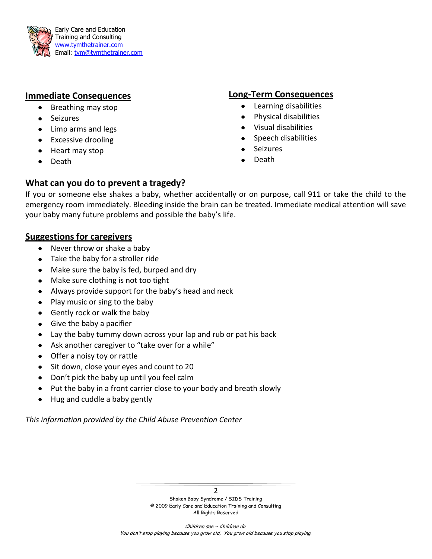

# **Immediate Consequences**

- $\bullet$ Breathing may stop
- Seizures
- Limp arms and legs
- Excessive drooling
- Heart may stop
- Death

#### **Long-Term Consequences**

- Learning disabilities  $\bullet$
- Physical disabilities  $\bullet$
- Visual disabilities
- Speech disabilities  $\bullet$
- **Seizures**
- Death

# **What can you do to prevent a tragedy?**

If you or someone else shakes a baby, whether accidentally or on purpose, call 911 or take the child to the emergency room immediately. Bleeding inside the brain can be treated. Immediate medical attention will save your baby many future problems and possible the baby's life.

# **Suggestions for caregivers**

- $\bullet$ Never throw or shake a baby
- Take the baby for a stroller ride
- Make sure the baby is fed, burped and dry
- Make sure clothing is not too tight
- Always provide support for the baby's head and neck
- Play music or sing to the baby
- Gently rock or walk the baby
- Give the baby a pacifier
- Lay the baby tummy down across your lap and rub or pat his back
- Ask another caregiver to "take over for a while"
- Offer a noisy toy or rattle
- Sit down, close your eyes and count to 20
- Don't pick the baby up until you feel calm
- Put the baby in a front carrier close to your body and breath slowly
- Hug and cuddle a baby gently  $\bullet$

*This information provided by the Child Abuse Prevention Center*

Shaken Baby Syndrome / SIDS Training © 2009 Early Care and Education Training and Consulting All Rights Reserved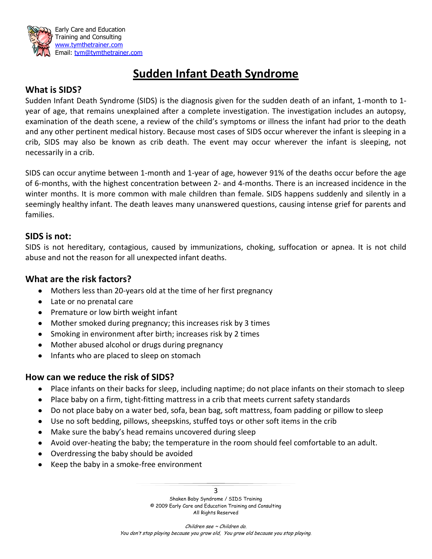

# **Sudden Infant Death Syndrome**

# **What is SIDS?**

Sudden Infant Death Syndrome (SIDS) is the diagnosis given for the sudden death of an infant, 1-month to 1 year of age, that remains unexplained after a complete investigation. The investigation includes an autopsy, examination of the death scene, a review of the child's symptoms or illness the infant had prior to the death and any other pertinent medical history. Because most cases of SIDS occur wherever the infant is sleeping in a crib, SIDS may also be known as crib death. The event may occur wherever the infant is sleeping, not necessarily in a crib.

SIDS can occur anytime between 1-month and 1-year of age, however 91% of the deaths occur before the age of 6-months, with the highest concentration between 2- and 4-months. There is an increased incidence in the winter months. It is more common with male children than female. SIDS happens suddenly and silently in a seemingly healthy infant. The death leaves many unanswered questions, causing intense grief for parents and families.

#### **SIDS is not:**

SIDS is not hereditary, contagious, caused by immunizations, choking, suffocation or apnea. It is not child abuse and not the reason for all unexpected infant deaths.

#### **What are the risk factors?**

- Mothers less than 20-years old at the time of her first pregnancy
- Late or no prenatal care
- Premature or low birth weight infant
- Mother smoked during pregnancy; this increases risk by 3 times
- Smoking in environment after birth; increases risk by 2 times
- Mother abused alcohol or drugs during pregnancy
- Infants who are placed to sleep on stomach

# **How can we reduce the risk of SIDS?**

- Place infants on their backs for sleep, including naptime; do not place infants on their stomach to sleep
- Place baby on a firm, tight-fitting mattress in a crib that meets current safety standards
- Do not place baby on a water bed, sofa, bean bag, soft mattress, foam padding or pillow to sleep
- Use no soft bedding, pillows, sheepskins, stuffed toys or other soft items in the crib
- Make sure the baby's head remains uncovered during sleep
- Avoid over-heating the baby; the temperature in the room should feel comfortable to an adult.
- Overdressing the baby should be avoided
- $\bullet$  Keep the baby in a smoke-free environment

3 Shaken Baby Syndrome / SIDS Training © 2009 Early Care and Education Training and Consulting All Rights Reserved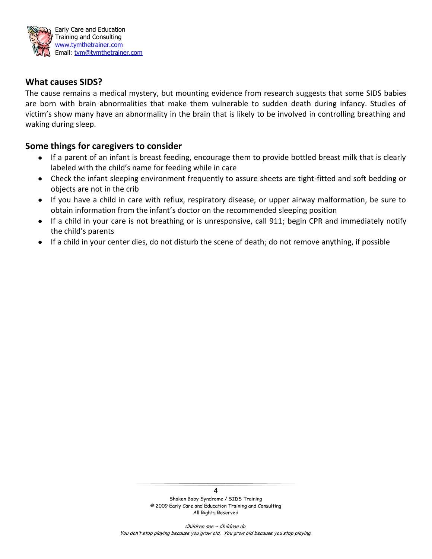

#### **What causes SIDS?**

The cause remains a medical mystery, but mounting evidence from research suggests that some SIDS babies are born with brain abnormalities that make them vulnerable to sudden death during infancy. Studies of victim's show many have an abnormality in the brain that is likely to be involved in controlling breathing and waking during sleep.

#### **Some things for caregivers to consider**

- If a parent of an infant is breast feeding, encourage them to provide bottled breast milk that is clearly labeled with the child's name for feeding while in care
- Check the infant sleeping environment frequently to assure sheets are tight-fitted and soft bedding or objects are not in the crib
- If you have a child in care with reflux, respiratory disease, or upper airway malformation, be sure to obtain information from the infant's doctor on the recommended sleeping position
- If a child in your care is not breathing or is unresponsive, call 911; begin CPR and immediately notify the child's parents
- If a child in your center dies, do not disturb the scene of death; do not remove anything, if possible

4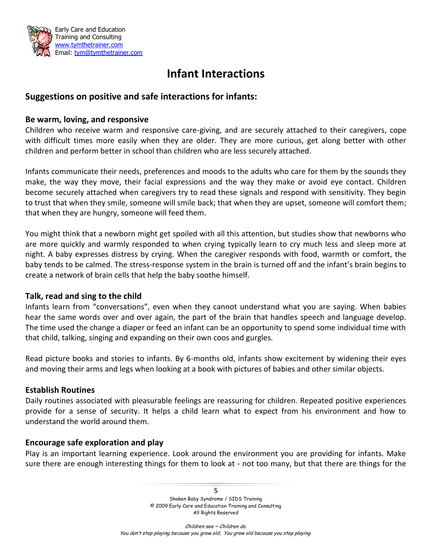

# **Infant Interactions**

# **Suggestions on positive and safe interactions for infants:**

#### **Be warm, loving, and responsive**

Children who receive warm and responsive care-giving, and are securely attached to their caregivers, cope with difficult times more easily when they are older. They are more curious, get along better with other children and perform better in school than children who are less securely attached.

Infants communicate their needs, preferences and moods to the adults who care for them by the sounds they make, the way they move, their facial expressions and the way they make or avoid eye contact. Children become securely attached when caregivers try to read these signals and respond with sensitivity. They begin to trust that when they smile, someone will smile back; that when they are upset, someone will comfort them; that when they are hungry, someone will feed them.

You might think that a newborn might get spoiled with all this attention, but studies show that newborns who are more quickly and warmly responded to when crying typically learn to cry much less and sleep more at night. A baby expresses distress by crying. When the caregiver responds with food, warmth or comfort, the baby tends to be calmed. The stress-response system in the brain is turned off and the infant's brain begins to create a network of brain cells that help the baby soothe himself.

#### **Talk, read and sing to the child**

Infants learn from "conversations", even when they cannot understand what you are saying. When babies hear the same words over and over again, the part of the brain that handles speech and language develop. The time used the change a diaper or feed an infant can be an opportunity to spend some individual time with that child, talking, singing and expanding on their own coos and gurgles.

Read picture books and stories to infants. By 6-months old, infants show excitement by widening their eyes and moving their arms and legs when looking at a book with pictures of babies and other similar objects.

#### **Establish Routines**

Daily routines associated with pleasurable feelings are reassuring for children. Repeated positive experiences provide for a sense of security. It helps a child learn what to expect from his environment and how to understand the world around them.

#### **Encourage safe exploration and play**

Play is an important learning experience. Look around the environment you are providing for infants. Make sure there are enough interesting things for them to look at - not too many, but that there are things for the

> 5 Shaken Baby Syndrome / SIDS Training © 2009 Early Care and Education Training and Consulting All Rights Reserved

Children see ~ Children do. You don't stop playing because you grow old, You grow old because you stop playing.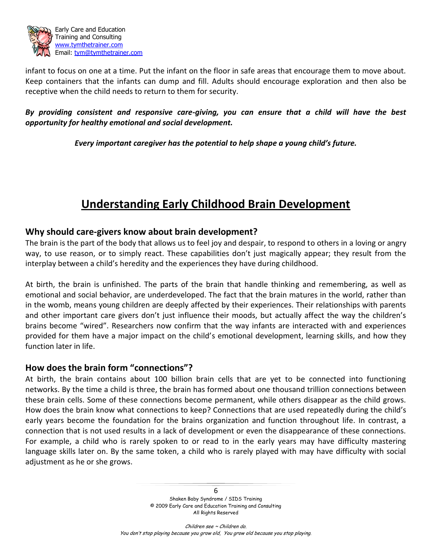

infant to focus on one at a time. Put the infant on the floor in safe areas that encourage them to move about. Keep containers that the infants can dump and fill. Adults should encourage exploration and then also be receptive when the child needs to return to them for security.

#### *By providing consistent and responsive care-giving, you can ensure that a child will have the best opportunity for healthy emotional and social development.*

*Every important caregiver has the potential to help shape a young child's future.*

# **Understanding Early Childhood Brain Development**

#### **Why should care-givers know about brain development?**

The brain is the part of the body that allows us to feel joy and despair, to respond to others in a loving or angry way, to use reason, or to simply react. These capabilities don't just magically appear; they result from the interplay between a child's heredity and the experiences they have during childhood.

At birth, the brain is unfinished. The parts of the brain that handle thinking and remembering, as well as emotional and social behavior, are underdeveloped. The fact that the brain matures in the world, rather than in the womb, means young children are deeply affected by their experiences. Their relationships with parents and other important care givers don't just influence their moods, but actually affect the way the children's brains become "wired". Researchers now confirm that the way infants are interacted with and experiences provided for them have a major impact on the child's emotional development, learning skills, and how they function later in life.

# **How does the brain form "connections"?**

At birth, the brain contains about 100 billion brain cells that are yet to be connected into functioning networks. By the time a child is three, the brain has formed about one thousand trillion connections between these brain cells. Some of these connections become permanent, while others disappear as the child grows. How does the brain know what connections to keep? Connections that are used repeatedly during the child's early years become the foundation for the brains organization and function throughout life. In contrast, a connection that is not used results in a lack of development or even the disappearance of these connections. For example, a child who is rarely spoken to or read to in the early years may have difficulty mastering language skills later on. By the same token, a child who is rarely played with may have difficulty with social adjustment as he or she grows.

> 6 Shaken Baby Syndrome / SIDS Training © 2009 Early Care and Education Training and Consulting All Rights Reserved

Children see ~ Children do. You don't stop playing because you grow old, You grow old because you stop playing.